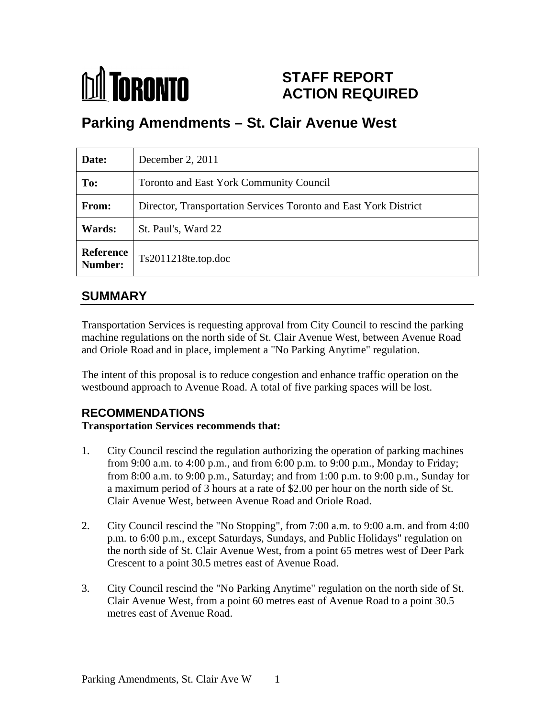## **MA** TORONTO **STAFF REPORT ACTION REQUIRED**

# **Parking Amendments – St. Clair Avenue West**

| Date:         | December 2, $2011$                                               |
|---------------|------------------------------------------------------------------|
| To:           | Toronto and East York Community Council                          |
| From:         | Director, Transportation Services Toronto and East York District |
| <b>Wards:</b> | St. Paul's, Ward 22                                              |
|               | Reference<br>Number: Ts2011218te.top.doc                         |

## **SUMMARY**

Transportation Services is requesting approval from City Council to rescind the parking machine regulations on the north side of St. Clair Avenue West, between Avenue Road

and Oriole Road and in place, implement a "No Parking Anytime" regulation.<br>The intent of this proposal is to reduce congestion and enhance traffic operation on the westbound approach to Avenue Road. A total of five parking spaces will be lost.

### **RECOMMENDATIONS**

#### **Transportation Services recommends that:**

- 1. City Council rescind the regulation authorizing the operation of parking machines from 9:00 a.m. to 4:00 p.m., and from 6:00 p.m. to 9:00 p.m., Monday to Friday; from 8:00 a.m. to 9:00 p.m., Saturday; and from 1:00 p.m. to 9:00 p.m., Sunday for a maximum period of 3 hours at a rate of \$2.00 per hour on the north side of St. Clair Avenue West, between Avenue Road and Oriole Road.
- 2. City Council rescind the "No Stopping", from 7:00 a.m. to 9:00 a.m. and from 4:00 p.m. to 6:00 p.m., except Saturdays, Sundays, and Public Holidays" regulation on the north side of St. Clair Avenue West, from a point 65 metres west of Deer Park Crescent to a point 30.5 metres east of Avenue Road.
- 3. City Council rescind the "No Parking Anytime" regulation on the north side of St. Clair Avenue West, from a point 60 metres east of Avenue Road to a point 30.5 metres east of Avenue Road.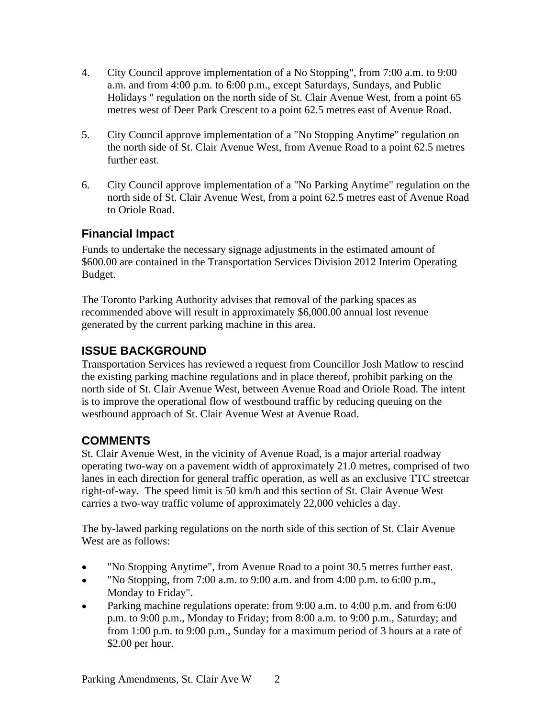- 4. City Council approve implementation of a No Stopping", from 7:00 a.m. to 9:00 a.m. and from 4:00 p.m. to 6:00 p.m., except Saturdays, Sundays, and Public Holidays " regulation on the north side of St. Clair Avenue West, from a point 65 metres west of Deer Park Crescent to a point 62.5 metres east of Avenue Road.
- 5. City Council approve implementation of a "No Stopping Anytime" regulation on the north side of St. Clair Avenue West, from Avenue Road to a point 62.5 metres further east.
- 6. City Council approve implementation of a "No Parking Anytime" regulation on the north side of St. Clair Avenue West, from a point 62.5 metres east of Avenue Road to Oriole Road.

## **Financial Impact**

Funds to undertake the necessary signage adjustments in the estimated amount of \$600.00 are contained in the Transportation Services Division 2012 Interim Operating example. The set of the set of the set of the set of the set of the set of the set of the set of the set of the set of the set of the set of the set of the set of the set of the set of the set of the set of the set of the

The Toronto Parking Authority advises that removal of the parking spaces as recommended above will result in approximately \$6,000.00 annual lost revenue generated by the current parking machine in this area.

### **ISSUE BACKGROUND**

Transportation Services has reviewed a request from Councillor Josh Matlow to rescind the existing parking machine regulations and in place thereof, prohibit parking on the north side of St. Clair Avenue West, between Avenue Road and Oriole Road. The intent is to improve the operational flow of westbound traffic by reducing queuing on the westbound approach of St. Clair Avenue West at Avenue Road.

### **COMMENTS**

St. Clair Avenue West, in the vicinity of Avenue Road, is a major arterial roadway operating two-way on a pavement width of approximately 21.0 metres, comprised of two lanes in each direction for general traffic operation, as well as an exclusive TTC streetcar right-of-way. The speed limit is 50 km/h and this section of St. Clair Avenue West carries a two-way traffic volume of approximately 22,000 vehicles a day.

The by-lawed parking regulations on the north side of this section of St. Clair Avenue West are as follows:

- "No Stopping Anytime", from Avenue Road to a point 30.5 metres further east.
- "No Stopping, from 7:00 a.m. to 9:00 a.m. and from 4:00 p.m. to 6:00 p.m.,  $\bullet$ Monday to Friday".
- Parking machine regulations operate: from 9:00 a.m. to 4:00 p.m. and from 6:00  $\bullet$ p.m. to 9:00 p.m., Monday to Friday; from 8:00 a.m. to 9:00 p.m., Saturday; and from 1:00 p.m. to 9:00 p.m., Sunday for a maximum period of 3 hours at a rate of \$2.00 per hour.